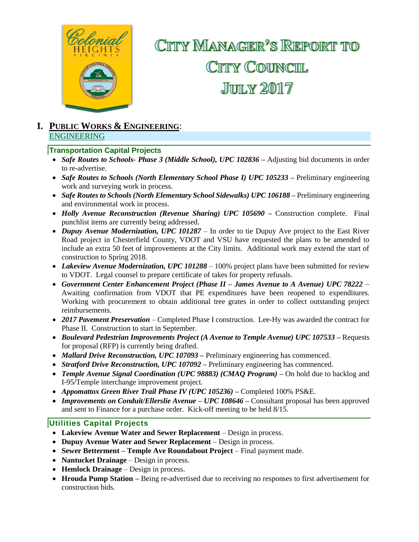

# CITTY MANAGER<sup>2</sup>S REPORT TO CITTY COUNCIL **JUILY 2017**

#### **I. PUBLIC WORKS & ENGINEERING**: ENGINEERING

#### **Transportation Capital Projects**

- Safe Routes to Schools- Phase 3 (Middle School), UPC 102836 Adjusting bid documents in order to re-advertise.
- *Safe Routes to Schools (North Elementary School Phase I) UPC 105233* **–** Preliminary engineering work and surveying work in process.
- *Safe Routes to Schools (North Elementary School Sidewalks) UPC 106188 –* Preliminary engineering and environmental work in process.
- *Holly Avenue Reconstruction (Revenue Sharing) UPC 105690 –* Construction complete. Final punchlist items are currently being addressed.
- *Dupuy Avenue Modernization, UPC 101287*  In order to tie Dupuy Ave project to the East River Road project in Chesterfield County, VDOT and VSU have requested the plans to be amended to include an extra 50 feet of improvements at the City limits. Additional work may extend the start of construction to Spring 2018.
- *Lakeview Avenue Modernization, UPC 101288* 100% project plans have been submitted for review to VDOT. Legal counsel to prepare certificate of takes for property refusals.
- *Government Center Enhancement Project (Phase II – James Avenue to A Avenue) UPC 78222 –* Awaiting confirmation from VDOT that PE expenditures have been reopened to expenditures. Working with procurement to obtain additional tree grates in order to collect outstanding project reimbursements.
- *2017 Pavement Preservation* Completed Phase I construction. Lee-Hy was awarded the contract for Phase II. Construction to start in September.
- *Boulevard Pedestrian Improvements Project (A Avenue to Temple Avenue) UPC 107533 –* Requests for proposal (RFP) is currently being drafted.
- *Mallard Drive Reconstruction, UPC 107093 –* Preliminary engineering has commenced.
- *Stratford Drive Reconstruction, UPC 107092 –* Preliminary engineering has commenced.
- *Temple Avenue Signal Coordination (UPC 98883) (CMAQ Program) –* On hold due to backlog and I-95/Temple interchange improvement project.
- *Appomattox Green River Trail Phase IV (UPC 105236) –* Completed 100% PS&E.
- *Improvements on Conduit/Ellerslie Avenue – UPC 108646* **–** Consultant proposal has been approved and sent to Finance for a purchase order. Kick-off meeting to be held 8/15.

#### **Utilities Capital Projects**

- **Lakeview Avenue Water and Sewer Replacement Design in process.**
- **Dupuy Avenue Water and Sewer Replacement**  Design in process.
- Sewer Betterment Temple Ave Roundabout Project Final payment made.
- **Nantucket Drainage** Design in process.
- **Hemlock Drainage**  Design in process.
- Hrouda Pump Station Being re-advertised due to receiving no responses to first advertisement for construction bids.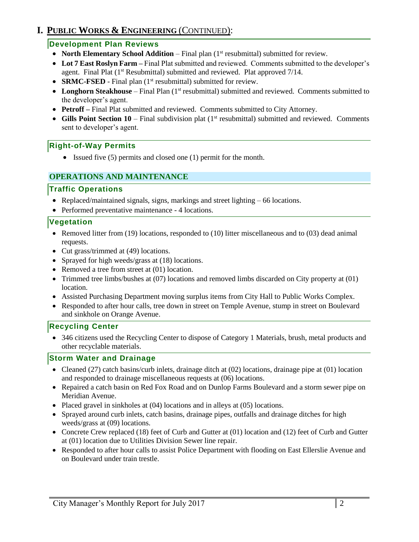# **I. PUBLIC WORKS & ENGINEERING** (CONTINUED):

### **Development Plan Reviews**

- **North Elementary School Addition** Final plan (1<sup>st</sup> resubmittal) submitted for review.
- **Lot 7 East Roslyn Farm –** Final Plat submitted and reviewed. Comments submitted to the developer's agent. Final Plat  $(1<sup>st</sup> Resubmitted)$  submitted and reviewed. Plat approved  $7/14$ .
- **SRMC-FSED** Final plan (1<sup>st</sup> resubmittal) submitted for review.
- Longhorn Steakhouse Final Plan (1<sup>st</sup> resubmittal) submitted and reviewed. Comments submitted to the developer's agent.
- **Petroff –** Final Plat submitted and reviewed. Comments submitted to City Attorney.
- Gills Point Section 10 Final subdivision plat (1<sup>st</sup> resubmittal) submitted and reviewed. Comments sent to developer's agent.

### **Right-of-Way Permits**

• Issued five (5) permits and closed one (1) permit for the month.

### **OPERATIONS AND MAINTENANCE**

#### **Traffic Operations**

- Replaced/maintained signals, signs, markings and street lighting 66 locations.
- Performed preventative maintenance 4 locations.

### **Vegetation**

- Removed litter from (19) locations, responded to (10) litter miscellaneous and to (03) dead animal requests.
- Cut grass/trimmed at (49) locations.
- Sprayed for high weeds/grass at (18) locations.
- Removed a tree from street at (01) location.
- Trimmed tree limbs/bushes at (07) locations and removed limbs discarded on City property at (01) location.
- Assisted Purchasing Department moving surplus items from City Hall to Public Works Complex.
- Responded to after hour calls, tree down in street on Temple Avenue, stump in street on Boulevard and sinkhole on Orange Avenue.

### **Recycling Center**

• 346 citizens used the Recycling Center to dispose of Category 1 Materials, brush, metal products and other recyclable materials.

### **Storm Water and Drainage**

- Cleaned (27) catch basins/curb inlets, drainage ditch at (02) locations, drainage pipe at (01) location and responded to drainage miscellaneous requests at (06) locations.
- Repaired a catch basin on Red Fox Road and on Dunlop Farms Boulevard and a storm sewer pipe on Meridian Avenue.
- Placed gravel in sinkholes at (04) locations and in alleys at (05) locations.
- Sprayed around curb inlets, catch basins, drainage pipes, outfalls and drainage ditches for high weeds/grass at (09) locations.
- Concrete Crew replaced (18) feet of Curb and Gutter at (01) location and (12) feet of Curb and Gutter at (01) location due to Utilities Division Sewer line repair.
- Responded to after hour calls to assist Police Department with flooding on East Ellerslie Avenue and on Boulevard under train trestle.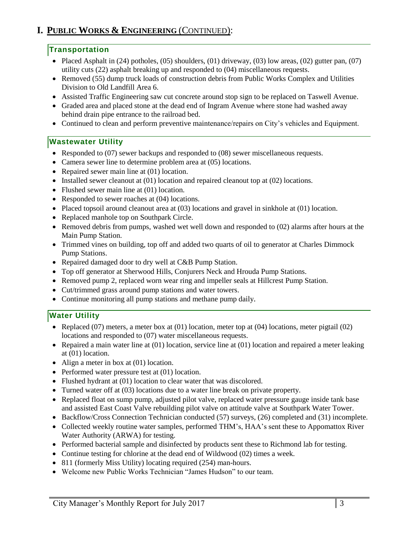# **I. PUBLIC WORKS & ENGINEERING** (CONTINUED):

### **Transportation**

- Placed Asphalt in  $(24)$  potholes,  $(05)$  shoulders,  $(01)$  driveway,  $(03)$  low areas,  $(02)$  gutter pan,  $(07)$ utility cuts (22) asphalt breaking up and responded to (04) miscellaneous requests.
- Removed (55) dump truck loads of construction debris from Public Works Complex and Utilities Division to Old Landfill Area 6.
- Assisted Traffic Engineering saw cut concrete around stop sign to be replaced on Taswell Avenue.
- Graded area and placed stone at the dead end of Ingram Avenue where stone had washed away behind drain pipe entrance to the railroad bed.
- Continued to clean and perform preventive maintenance/repairs on City's vehicles and Equipment.

### **Wastewater Utility**

- Responded to (07) sewer backups and responded to (08) sewer miscellaneous requests.
- Camera sewer line to determine problem area at (05) locations.
- Repaired sewer main line at (01) location.
- Installed sewer cleanout at  $(01)$  location and repaired cleanout top at  $(02)$  locations.
- Flushed sewer main line at (01) location.
- Responded to sewer roaches at (04) locations.
- Placed topsoil around cleanout area at (03) locations and gravel in sinkhole at (01) location.
- Replaced manhole top on Southpark Circle.
- Removed debris from pumps, washed wet well down and responded to (02) alarms after hours at the Main Pump Station.
- Trimmed vines on building, top off and added two quarts of oil to generator at Charles Dimmock Pump Stations.
- Repaired damaged door to dry well at C&B Pump Station.
- Top off generator at Sherwood Hills, Conjurers Neck and Hrouda Pump Stations.
- Removed pump 2, replaced worn wear ring and impeller seals at Hillcrest Pump Station.
- Cut/trimmed grass around pump stations and water towers.
- Continue monitoring all pump stations and methane pump daily*.*

### **Water Utility**

- Replaced (07) meters, a meter box at (01) location, meter top at (04) locations, meter pigtail (02) locations and responded to (07) water miscellaneous requests.
- Repaired a main water line at  $(01)$  location, service line at  $(01)$  location and repaired a meter leaking at (01) location.
- Align a meter in box at (01) location.
- Performed water pressure test at (01) location.
- Flushed hydrant at (01) location to clear water that was discolored.
- Turned water off at (03) locations due to a water line break on private property.
- Replaced float on sump pump, adjusted pilot valve, replaced water pressure gauge inside tank base and assisted East Coast Valve rebuilding pilot valve on attitude valve at Southpark Water Tower.
- Backflow/Cross Connection Technician conducted (57) surveys, (26) completed and (31) incomplete.
- Collected weekly routine water samples, performed THM's, HAA's sent these to Appomattox River Water Authority (ARWA) for testing.
- Performed bacterial sample and disinfected by products sent these to Richmond lab for testing.
- Continue testing for chlorine at the dead end of Wildwood (02) times a week.
- 811 (formerly Miss Utility) locating required (254) man-hours.
- Welcome new Public Works Technician "James Hudson" to our team.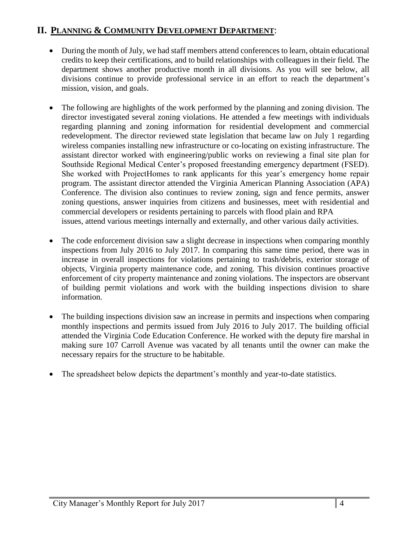# **II. PLANNING & COMMUNITY DEVELOPMENT DEPARTMENT**:

- During the month of July, we had staff members attend conferences to learn, obtain educational credits to keep their certifications, and to build relationships with colleagues in their field. The department shows another productive month in all divisions. As you will see below, all divisions continue to provide professional service in an effort to reach the department's mission, vision, and goals.
- The following are highlights of the work performed by the planning and zoning division. The director investigated several zoning violations. He attended a few meetings with individuals regarding planning and zoning information for residential development and commercial redevelopment. The director reviewed state legislation that became law on July 1 regarding wireless companies installing new infrastructure or co-locating on existing infrastructure. The assistant director worked with engineering/public works on reviewing a final site plan for Southside Regional Medical Center's proposed freestanding emergency department (FSED). She worked with ProjectHomes to rank applicants for this year's emergency home repair program. The assistant director attended the Virginia American Planning Association (APA) Conference. The division also continues to review zoning, sign and fence permits, answer zoning questions, answer inquiries from citizens and businesses, meet with residential and commercial developers or residents pertaining to parcels with flood plain and RPA issues, attend various meetings internally and externally, and other various daily activities.
- The code enforcement division saw a slight decrease in inspections when comparing monthly inspections from July 2016 to July 2017. In comparing this same time period, there was in increase in overall inspections for violations pertaining to trash/debris, exterior storage of objects, Virginia property maintenance code, and zoning. This division continues proactive enforcement of city property maintenance and zoning violations. The inspectors are observant of building permit violations and work with the building inspections division to share information.
- The building inspections division saw an increase in permits and inspections when comparing monthly inspections and permits issued from July 2016 to July 2017. The building official attended the Virginia Code Education Conference. He worked with the deputy fire marshal in making sure 107 Carroll Avenue was vacated by all tenants until the owner can make the necessary repairs for the structure to be habitable.
- The spreadsheet below depicts the department's monthly and year-to-date statistics.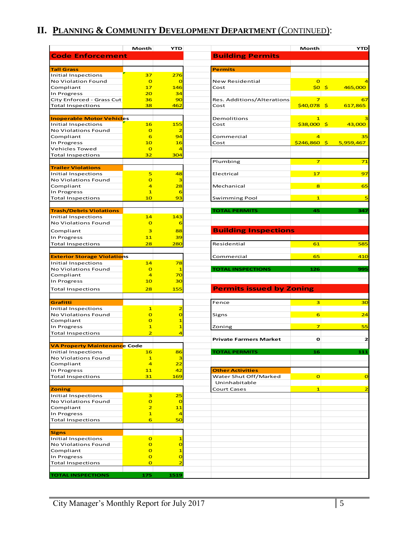# **II. PLANNING & COMMUNITY DEVELOPMENT DEPARTMENT** (CONTINUED):

|                                                       | Month                            | <b>YTD</b>                                |                                    | Month                   | <b>YTD</b>            |
|-------------------------------------------------------|----------------------------------|-------------------------------------------|------------------------------------|-------------------------|-----------------------|
| <b>Code Enforcement</b>                               |                                  |                                           | <b>Building Permits</b>            |                         |                       |
|                                                       |                                  |                                           |                                    |                         |                       |
| <b>Tall Grass</b>                                     |                                  |                                           | <b>Permits</b>                     |                         |                       |
| <b>Initial Inspections</b>                            | 37                               | 276                                       |                                    |                         |                       |
| No Violation Found                                    | $\overline{O}$                   | $\overline{O}$                            | New Residential                    | $\circ$                 | ⊿                     |
| Compliant                                             | 17                               | 146                                       | Cost                               | \$0\$                   | $\sqrt{5}$<br>465,000 |
| In Progress                                           | 20<br>36                         | 34<br>90                                  |                                    | $\overline{\mathbf{z}}$ |                       |
| City Enforced - Grass Cut<br><b>Total Inspections</b> | 38                               | 462                                       | Res. Additions/Alterations<br>Cost | $$40,078$ \$            | 67<br>617,865         |
|                                                       |                                  |                                           |                                    |                         |                       |
| <b>Inoperable Motor Vehicles</b>                      |                                  |                                           | Demolitions                        | $\mathbf{1}$            | з                     |
| <b>Initial Inspections</b>                            | 16                               | <b>155</b>                                | Cost                               | $$38,000$ \$            | 43,000                |
| No Violations Found                                   | $\overline{O}$                   | 2                                         |                                    |                         |                       |
| Compliant                                             | 6                                | 94                                        | Commercial                         | 4                       | 35                    |
| In Progress                                           | 10                               | <b>16</b>                                 | Cost                               | \$246,860               | -\$<br>5,959,467      |
| Vehicles Towed                                        | $\overline{O}$                   | ⊿                                         |                                    |                         |                       |
| <b>Total Inspections</b>                              | 32                               | 304                                       | Plumbing                           | 7                       | 71                    |
| <b>Trailer Violations</b>                             |                                  |                                           |                                    |                         |                       |
| Initial Inspections                                   | 5                                | 48                                        | Electrical                         | 17                      | 97                    |
| No Violations Found                                   | $\overline{O}$                   | з                                         |                                    |                         |                       |
| Compliant                                             | 4                                | 28                                        | Mechanical                         | 8                       | 65                    |
| In Progress                                           | $\mathbf{1}$                     | 6                                         |                                    |                         |                       |
| <b>Total Inspections</b>                              | 10                               | 93                                        | <b>Swimming Pool</b>               | $\mathbf{1}$            | 5                     |
|                                                       |                                  |                                           |                                    |                         |                       |
| <b>Trash/Debris Violations</b>                        |                                  |                                           | <b>TOTAL PERMITS</b>               | 45                      | 347                   |
| <b>Initial Inspections</b><br>No Violations Found     | 14<br>$\overline{O}$             | 143                                       |                                    |                         |                       |
|                                                       |                                  | 6                                         |                                    |                         |                       |
| Compliant                                             | 3                                | 88                                        | <b>Building Inspections</b>        |                         |                       |
| In Progress                                           | 11                               | 39                                        |                                    |                         |                       |
| <b>Total Inspections</b>                              | 28                               | 280                                       | Residential                        | 61                      | 585                   |
| <b>Exterior Storage Violations</b>                    |                                  |                                           | Commercial                         | 65                      | 410                   |
| <b>Initial Inspections</b>                            | 14                               | 78                                        |                                    |                         |                       |
| No Violations Found                                   | $\overline{O}$                   | $\mathbf{1}$                              | <b>TOTAL INSPECTIONS</b>           | 126                     | 995                   |
| Compliant                                             | $\overline{4}$                   | 70                                        |                                    |                         |                       |
| In Progress                                           | 10                               | 30                                        |                                    |                         |                       |
| <b>Total Inspections</b>                              | 28                               | 155                                       | <b>Permits issued by Zoning</b>    |                         |                       |
|                                                       |                                  |                                           |                                    |                         |                       |
| Grafitti                                              |                                  |                                           | Fence                              | $\overline{\mathbf{3}}$ | 30                    |
| Initial Inspections                                   | $\mathbf{1}$                     | $\overline{\mathbf{2}}$                   |                                    |                         |                       |
| No Violations Found                                   | $\overline{O}$                   | $\overline{O}$                            | Signs                              | 6                       | 24                    |
| Compliant                                             | $\overline{O}$<br>$\mathbf{1}$   | $\mathbf{1}$<br>$\mathbf{1}$              | Zoning                             | 7                       | 55                    |
| In Progress<br><b>Total Inspections</b>               | $\overline{2}$                   | $\overline{4}$                            |                                    |                         |                       |
|                                                       |                                  |                                           | <b>Private Farmers Market</b>      | $\mathbf o$             | 2                     |
| <b>VA Property Maintenance Code</b>                   |                                  |                                           |                                    |                         |                       |
| <b>Initial Inspections</b>                            | <b>16</b>                        | 86                                        | <b>TOTAL PERMITS</b>               | 16                      | 111                   |
| No Violations Found                                   | $\mathbf{1}$                     | 3                                         |                                    |                         |                       |
| Compliant                                             | $\overline{a}$                   | 22                                        |                                    |                         |                       |
| In Progress                                           | 11                               | 42                                        | <b>Other Activities</b>            |                         |                       |
| <b>Total Inspections</b>                              | 31                               | 169                                       | Water Shut Off/Marked              | $\overline{O}$          | $\mathbf{o}$          |
|                                                       |                                  |                                           | Uninhabitable                      |                         |                       |
| <b>Zoning</b>                                         |                                  |                                           | Court Cases                        | 1                       | $\overline{2}$        |
| <b>Initial Inspections</b><br>No Violations Found     | 3<br>$\overline{O}$              | 25<br>$\overline{O}$                      |                                    |                         |                       |
| Compliant                                             | $\overline{2}$                   | 11                                        |                                    |                         |                       |
| In Progress                                           | $\mathbf{1}$                     | $\overline{4}$                            |                                    |                         |                       |
| <b>Total Inspections</b>                              | 6                                | 50                                        |                                    |                         |                       |
|                                                       |                                  |                                           |                                    |                         |                       |
| <b>Signs</b>                                          |                                  |                                           |                                    |                         |                       |
| <b>Initial Inspections</b>                            | $\overline{O}$                   | $\mathbf{1}$                              |                                    |                         |                       |
| No Violations Found                                   | $\mathbf{o}$                     | $\overline{O}$                            |                                    |                         |                       |
| Compliant                                             | $\overline{O}$                   | $\overline{\mathbf{1}}$                   |                                    |                         |                       |
| In Progress<br><b>Total Inspections</b>               | $\overline{O}$<br>$\overline{O}$ | $\overline{O}$<br>$\overline{\mathbf{c}}$ |                                    |                         |                       |
|                                                       |                                  |                                           |                                    |                         |                       |
| <b>TOTAL INSPECTIONS</b>                              | 175                              | 1519                                      |                                    |                         |                       |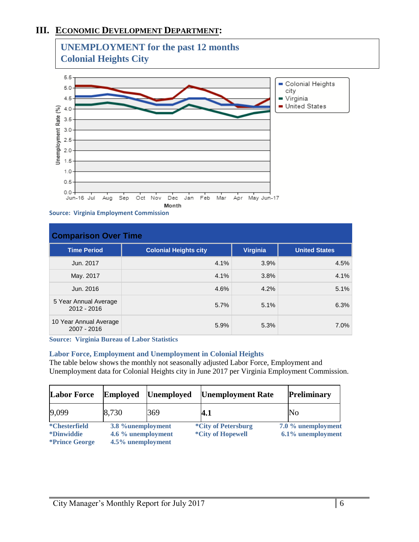# **III. ECONOMIC DEVELOPMENT DEPARTMENT:**



**Source: Virginia Employment Commission**

| <b>Comparison Over Time</b>           |                              |          |                      |  |
|---------------------------------------|------------------------------|----------|----------------------|--|
| <b>Time Period</b>                    | <b>Colonial Heights city</b> | Virginia | <b>United States</b> |  |
| Jun. 2017                             | 4.1%                         | 3.9%     | 4.5%                 |  |
| May. 2017                             | 4.1%                         | 3.8%     | 4.1%                 |  |
| Jun. 2016                             | 4.6%                         | 4.2%     | 5.1%                 |  |
| 5 Year Annual Average<br>2012 - 2016  | 5.7%                         | 5.1%     | 6.3%                 |  |
| 10 Year Annual Average<br>2007 - 2016 | 5.9%                         | 5.3%     | 7.0%                 |  |

**Source: Virginia Bureau of Labor Statistics**

#### **Labor Force, Employment and Unemployment in Colonial Heights**

The table below shows the monthly not seasonally adjusted Labor Force, Employment and Unemployment data for Colonial Heights city in June 2017 per Virginia Employment Commission.

| <b>Labor Force</b>                                                  | <b>Employed</b>                                              | <b>Unemployed</b> | <b>Unemployment Rate</b>                               | Preliminary                             |
|---------------------------------------------------------------------|--------------------------------------------------------------|-------------------|--------------------------------------------------------|-----------------------------------------|
| 9,099                                                               | 8,730                                                        | 369               | 4.1                                                    | No                                      |
| <i>*</i> Chesterfield<br><i>*Dinwiddie</i><br><i>*Prince George</i> | 3.8 %unemployment<br>4.6 % unemployment<br>4.5% unemployment |                   | <i>*City of Petersburg</i><br><i>*City of Hopewell</i> | 7.0 % unemployment<br>6.1% unemployment |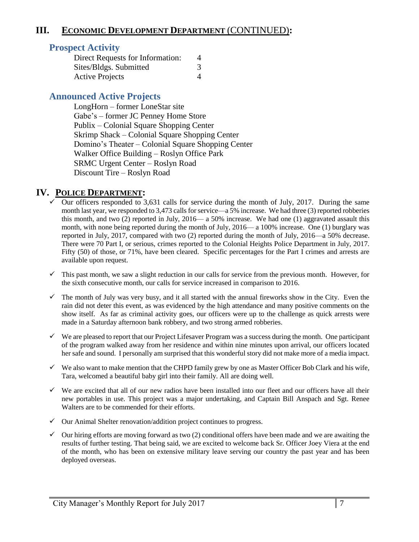## **III. ECONOMIC DEVELOPMENT DEPARTMENT** (CONTINUED)**:**

## **Prospect Activity**

| Direct Requests for Information: | 4 |
|----------------------------------|---|
| Sites/Bldgs. Submitted           | 3 |
| <b>Active Projects</b>           |   |

## **Announced Active Projects**

LongHorn – former LoneStar site Gabe's – former JC Penney Home Store Publix – Colonial Square Shopping Center Skrimp Shack – Colonial Square Shopping Center Domino's Theater – Colonial Square Shopping Center Walker Office Building – Roslyn Office Park SRMC Urgent Center – Roslyn Road Discount Tire – Roslyn Road

### **IV. POLICE DEPARTMENT:**

- $\checkmark$  Our officers responded to 3,631 calls for service during the month of July, 2017. During the same month last year, we responded to 3,473 calls for service—a 5% increase. We had three (3) reported robberies this month, and two (2) reported in July, 2016— a 50% increase. We had one (1) aggravated assault this month, with none being reported during the month of July, 2016— a 100% increase. One (1) burglary was reported in July, 2017, compared with two (2) reported during the month of July, 2016—a 50% decrease. There were 70 Part I, or serious, crimes reported to the Colonial Heights Police Department in July, 2017. Fifty (50) of those, or 71%, have been cleared. Specific percentages for the Part I crimes and arrests are available upon request.
- $\checkmark$  This past month, we saw a slight reduction in our calls for service from the previous month. However, for the sixth consecutive month, our calls for service increased in comparison to 2016.
- $\checkmark$  The month of July was very busy, and it all started with the annual fireworks show in the City. Even the rain did not deter this event, as was evidenced by the high attendance and many positive comments on the show itself. As far as criminal activity goes, our officers were up to the challenge as quick arrests were made in a Saturday afternoon bank robbery, and two strong armed robberies.
- $\checkmark$  We are pleased to report that our Project Lifesaver Program was a success during the month. One participant of the program walked away from her residence and within nine minutes upon arrival, our officers located her safe and sound. I personally am surprised that this wonderful story did not make more of a media impact.
- $\checkmark$  We also want to make mention that the CHPD family grew by one as Master Officer Bob Clark and his wife, Tara, welcomed a beautiful baby girl into their family. All are doing well.
- $\checkmark$  We are excited that all of our new radios have been installed into our fleet and our officers have all their new portables in use. This project was a major undertaking, and Captain Bill Anspach and Sgt. Renee Walters are to be commended for their efforts.
- $\checkmark$  Our Animal Shelter renovation/addition project continues to progress.
- $\checkmark$  Our hiring efforts are moving forward as two (2) conditional offers have been made and we are awaiting the results of further testing. That being said, we are excited to welcome back Sr. Officer Joey Viera at the end of the month, who has been on extensive military leave serving our country the past year and has been deployed overseas.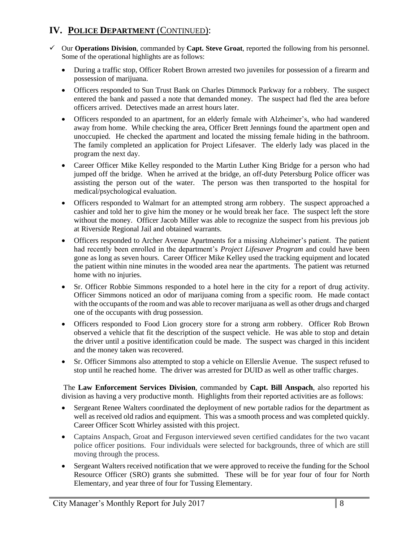# **IV. POLICE DEPARTMENT** (CONTINUED):

- Our **Operations Division**, commanded by **Capt. Steve Groat**, reported the following from his personnel. Some of the operational highlights are as follows:
	- During a traffic stop, Officer Robert Brown arrested two juveniles for possession of a firearm and possession of marijuana.
	- Officers responded to Sun Trust Bank on Charles Dimmock Parkway for a robbery. The suspect entered the bank and passed a note that demanded money. The suspect had fled the area before officers arrived. Detectives made an arrest hours later.
	- Officers responded to an apartment, for an elderly female with Alzheimer's, who had wandered away from home. While checking the area, Officer Brett Jennings found the apartment open and unoccupied. He checked the apartment and located the missing female hiding in the bathroom. The family completed an application for Project Lifesaver. The elderly lady was placed in the program the next day.
	- Career Officer Mike Kelley responded to the Martin Luther King Bridge for a person who had jumped off the bridge. When he arrived at the bridge, an off-duty Petersburg Police officer was assisting the person out of the water. The person was then transported to the hospital for medical/psychological evaluation.
	- Officers responded to Walmart for an attempted strong arm robbery. The suspect approached a cashier and told her to give him the money or he would break her face. The suspect left the store without the money. Officer Jacob Miller was able to recognize the suspect from his previous job at Riverside Regional Jail and obtained warrants.
	- Officers responded to Archer Avenue Apartments for a missing Alzheimer's patient. The patient had recently been enrolled in the department's *Project Lifesaver Program* and could have been gone as long as seven hours. Career Officer Mike Kelley used the tracking equipment and located the patient within nine minutes in the wooded area near the apartments. The patient was returned home with no injuries.
	- Sr. Officer Robbie Simmons responded to a hotel here in the city for a report of drug activity. Officer Simmons noticed an odor of marijuana coming from a specific room. He made contact with the occupants of the room and was able to recover marijuana as well as other drugs and charged one of the occupants with drug possession.
	- Officers responded to Food Lion grocery store for a strong arm robbery. Officer Rob Brown observed a vehicle that fit the description of the suspect vehicle. He was able to stop and detain the driver until a positive identification could be made. The suspect was charged in this incident and the money taken was recovered.
	- Sr. Officer Simmons also attempted to stop a vehicle on Ellerslie Avenue. The suspect refused to stop until he reached home. The driver was arrested for DUID as well as other traffic charges.

The **Law Enforcement Services Division**, commanded by **Capt. Bill Anspach**, also reported his division as having a very productive month. Highlights from their reported activities are as follows:

- Sergeant Renee Walters coordinated the deployment of new portable radios for the department as well as received old radios and equipment. This was a smooth process and was completed quickly. Career Officer Scott Whirley assisted with this project.
- Captains Anspach, Groat and Ferguson interviewed seven certified candidates for the two vacant police officer positions. Four individuals were selected for backgrounds, three of which are still moving through the process.
- Sergeant Walters received notification that we were approved to receive the funding for the School Resource Officer (SRO) grants she submitted. These will be for year four of four for North Elementary, and year three of four for Tussing Elementary.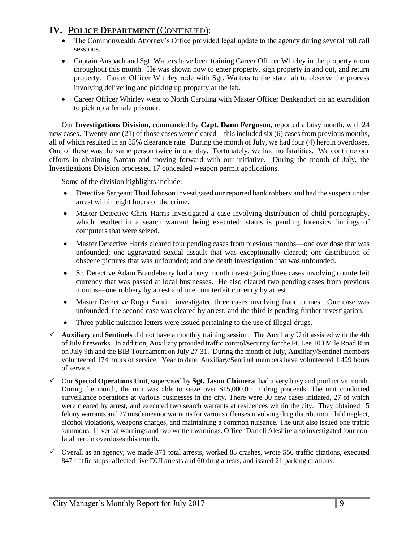# **IV. POLICE DEPARTMENT** (CONTINUED):

- The Commonwealth Attorney's Office provided legal update to the agency during several roll call sessions.
- Captain Anspach and Sgt. Walters have been training Career Officer Whirley in the property room throughout this month. He was shown how to enter property, sign property in and out, and return property. Career Officer Whirley rode with Sgt. Walters to the state lab to observe the process involving delivering and picking up property at the lab.
- Career Officer Whirley went to North Carolina with Master Officer Benkendorf on an extradition to pick up a female prisoner.

Our **Investigations Division,** commanded by **Capt. Dann Ferguson**, reported a busy month, with 24 new cases. Twenty-one (21) of those cases were cleared—this included six (6) cases from previous months, all of which resulted in an 85% clearance rate. During the month of July, we had four (4) heroin overdoses. One of these was the same person twice in one day. Fortunately, we had no fatalities. We continue our efforts in obtaining Narcan and moving forward with our initiative. During the month of July, the Investigations Division processed 17 concealed weapon permit applications.

Some of the division highlights include:

- Detective Sergeant Thad Johnson investigated our reported bank robbery and had the suspect under arrest within eight hours of the crime.
- Master Detective Chris Harris investigated a case involving distribution of child pornography, which resulted in a search warrant being executed; status is pending forensics findings of computers that were seized.
- Master Detective Harris cleared four pending cases from previous months—one overdose that was unfounded; one aggravated sexual assault that was exceptionally cleared; one distribution of obscene pictures that was unfounded; and one death investigation that was unfounded.
- Sr. Detective Adam Brandeberry had a busy month investigating three cases involving counterfeit currency that was passed at local businesses. He also cleared two pending cases from previous months—one robbery by arrest and one counterfeit currency by arrest.
- Master Detective Roger Santini investigated three cases involving fraud crimes. One case was unfounded, the second case was cleared by arrest, and the third is pending further investigation.
- Three public nuisance letters were issued pertaining to the use of illegal drugs.
- **Auxiliary** and **Sentinels** did not have a monthly training session. The Auxiliary Unit assisted with the 4th of July fireworks. In addition, Auxiliary provided traffic control/security for the Ft. Lee 100 Mile Road Run on July 9th and the BIB Tournament on July 27-31. During the month of July, Auxiliary/Sentinel members volunteered 174 hours of service. Year to date, Auxiliary/Sentinel members have volunteered 1,429 hours of service.
- Our **Special Operations Unit**, supervised by **Sgt. Jason Chimera**, had a very busy and productive month. During the month, the unit was able to seize over \$15,000.00 in drug proceeds. The unit conducted surveillance operations at various businesses in the city. There were 30 new cases initiated, 27 of which were cleared by arrest, and executed two search warrants at residences within the city. They obtained 15 felony warrants and 27 misdemeanor warrants for various offenses involving drug distribution, child neglect, alcohol violations, weapons charges, and maintaining a common nuisance. The unit also issued one traffic summons, 11 verbal warnings and two written warnings. Officer Darrell Aleshire also investigated four nonfatal heroin overdoses this month.
- $\checkmark$  Overall as an agency, we made 371 total arrests, worked 83 crashes, wrote 556 traffic citations, executed 847 traffic stops, affected five DUI arrests and 60 drug arrests, and issued 21 parking citations.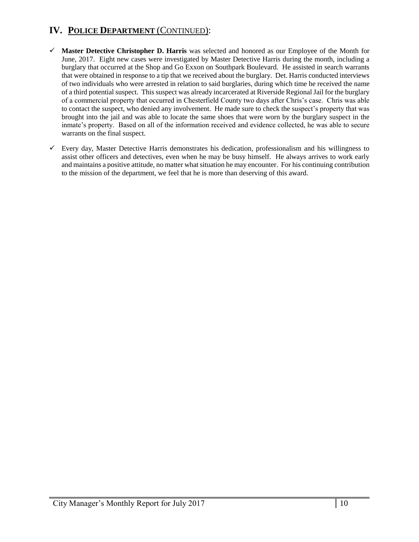# **IV. POLICE DEPARTMENT** (CONTINUED):

- **Master Detective Christopher D. Harris** was selected and honored as our Employee of the Month for June, 2017. Eight new cases were investigated by Master Detective Harris during the month, including a burglary that occurred at the Shop and Go Exxon on Southpark Boulevard. He assisted in search warrants that were obtained in response to a tip that we received about the burglary. Det. Harris conducted interviews of two individuals who were arrested in relation to said burglaries, during which time he received the name of a third potential suspect. This suspect was already incarcerated at Riverside Regional Jail for the burglary of a commercial property that occurred in Chesterfield County two days after Chris's case. Chris was able to contact the suspect, who denied any involvement. He made sure to check the suspect's property that was brought into the jail and was able to locate the same shoes that were worn by the burglary suspect in the inmate's property. Based on all of the information received and evidence collected, he was able to secure warrants on the final suspect.
- $\checkmark$  Every day, Master Detective Harris demonstrates his dedication, professionalism and his willingness to assist other officers and detectives, even when he may be busy himself. He always arrives to work early and maintains a positive attitude, no matter what situation he may encounter. For his continuing contribution to the mission of the department, we feel that he is more than deserving of this award.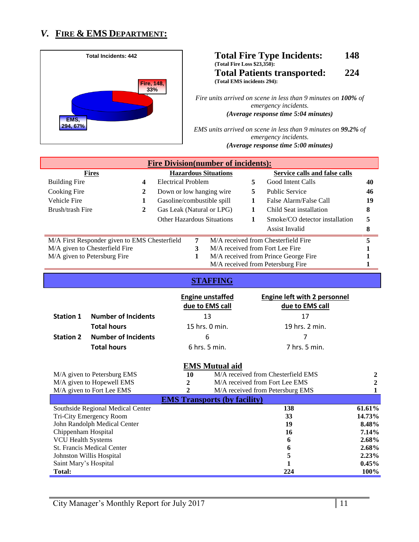# *V.* **FIRE & EMS DEPARTMENT:**



#### **Total Fire Type Incidents: 148 (Total Fire Loss \$23,350): Total Patients transported: 224 (Total EMS incidents 294):**

*Fire units arrived on scene in less than 9 minutes on 100% of emergency incidents. (Average response time 5:04 minutes)*

*EMS units arrived on scene in less than 9 minutes on 99.2% of emergency incidents. (Average response time 5:00 minutes)*

| <b>Fire Division(number of incidents):</b>    |              |                                   |   |                             |    |                                      |    |
|-----------------------------------------------|--------------|-----------------------------------|---|-----------------------------|----|--------------------------------------|----|
| <b>Fires</b>                                  |              |                                   |   | <b>Hazardous Situations</b> |    | Service calls and false calls.       |    |
| <b>Building Fire</b>                          | 4            | <b>Electrical Problem</b>         |   |                             |    | Good Intent Calls                    | 40 |
| Cooking Fire                                  | $\mathbf{2}$ | Down or low hanging wire.         |   |                             | 5. | <b>Public Service</b>                | 46 |
| Vehicle Fire                                  |              | Gasoline/combustible spill        |   |                             |    | False Alarm/False Call               | 19 |
| Brush/trash Fire                              | $\mathbf{2}$ | Gas Leak (Natural or LPG)         |   |                             |    | Child Seat installation              | 8  |
|                                               |              | <b>Other Hazardous Situations</b> |   |                             |    | Smoke/CO detector installation       | 5  |
|                                               |              |                                   |   |                             |    | Assist Invalid                       | 8  |
| M/A First Responder given to EMS Chesterfield |              |                                   | 7 |                             |    | M/A received from Chesterfield Fire  | 5  |
| M/A given to Chesterfield Fire                |              |                                   | 3 |                             |    | M/A received from Fort Lee Fire      |    |
| M/A given to Petersburg Fire                  |              |                                   | 1 |                             |    | M/A received from Prince George Fire |    |
|                                               |              |                                   |   |                             |    | M/A received from Petersburg Fire    |    |

### **STAFFING**

|                  |                            | <b>Engine unstaffed</b><br>due to EMS call | <b>Engine left with 2 personnel</b><br>due to EMS call |
|------------------|----------------------------|--------------------------------------------|--------------------------------------------------------|
| <b>Station 1</b> | <b>Number of Incidents</b> | 13                                         | 17                                                     |
|                  | <b>Total hours</b>         | 15 hrs. $0$ min.                           | 19 hrs. 2 min.                                         |
| <b>Station 2</b> | <b>Number of Incidents</b> | 6                                          |                                                        |
|                  | <b>Total hours</b>         | $6$ hrs. 5 min.                            | 7 hrs. 5 min.                                          |

#### **EMS Mutual aid**

| M/A given to Petersburg EMS       | 10 | M/A received from Chesterfield EMS  |          |
|-----------------------------------|----|-------------------------------------|----------|
| M/A given to Hopewell EMS         |    | M/A received from Fort Lee EMS      |          |
| M/A given to Fort Lee EMS         |    | M/A received from Petersburg EMS    |          |
|                                   |    | <b>EMS Transports (by facility)</b> |          |
| Southside Regional Medical Center |    | 138                                 | 61.61%   |
| Tri-City Emergency Room           |    | 33                                  | 14.73%   |
| John Randolph Medical Center      |    | 19                                  | 8.48%    |
| Chippenham Hospital               |    | 16                                  | $7.14\%$ |
| <b>VCU Health Systems</b>         |    | 6                                   | $2.68\%$ |
| <b>St. Francis Medical Center</b> |    | 6                                   | $2.68\%$ |
| Johnston Willis Hospital          |    |                                     | 2.23%    |
| Saint Mary's Hospital             |    |                                     | $0.45\%$ |
| <b>Total:</b>                     |    | 224                                 | $100\%$  |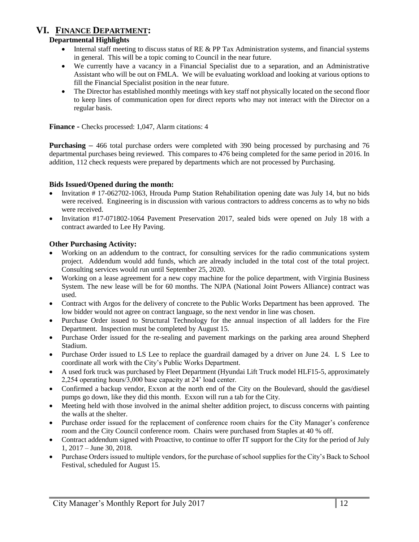### **VI. FINANCE DEPARTMENT:**

#### **Departmental Highlights**

- Internal staff meeting to discuss status of RE & PP Tax Administration systems, and financial systems in general. This will be a topic coming to Council in the near future.
- We currently have a vacancy in a Financial Specialist due to a separation, and an Administrative Assistant who will be out on FMLA. We will be evaluating workload and looking at various options to fill the Financial Specialist position in the near future.
- The Director has established monthly meetings with key staff not physically located on the second floor to keep lines of communication open for direct reports who may not interact with the Director on a regular basis.

**Finance -** Checks processed: 1,047, Alarm citations: 4

**Purchasing –** 466 total purchase orders were completed with 390 being processed by purchasing and 76 departmental purchases being reviewed. This compares to 476 being completed for the same period in 2016. In addition, 112 check requests were prepared by departments which are not processed by Purchasing.

#### **Bids Issued/Opened during the month:**

- Invitation # 17-062702-1063, Hrouda Pump Station Rehabilitation opening date was July 14, but no bids were received. Engineering is in discussion with various contractors to address concerns as to why no bids were received.
- Invitation #17-071802-1064 Pavement Preservation 2017, sealed bids were opened on July 18 with a contract awarded to Lee Hy Paving.

#### **Other Purchasing Activity:**

- Working on an addendum to the contract, for consulting services for the radio communications system project. Addendum would add funds, which are already included in the total cost of the total project. Consulting services would run until September 25, 2020.
- Working on a lease agreement for a new copy machine for the police department, with Virginia Business System. The new lease will be for 60 months. The NJPA (National Joint Powers Alliance) contract was used.
- Contract with Argos for the delivery of concrete to the Public Works Department has been approved. The low bidder would not agree on contract language, so the next vendor in line was chosen.
- Purchase Order issued to Structural Technology for the annual inspection of all ladders for the Fire Department. Inspection must be completed by August 15.
- Purchase Order issued for the re-sealing and pavement markings on the parking area around Shepherd Stadium.
- Purchase Order issued to LS Lee to replace the guardrail damaged by a driver on June 24. L S Lee to coordinate all work with the City's Public Works Department.
- A used fork truck was purchased by Fleet Department (Hyundai Lift Truck model HLF15-5, approximately 2,254 operating hours/3,000 base capacity at 24' load center.
- Confirmed a backup vendor, Exxon at the north end of the City on the Boulevard, should the gas/diesel pumps go down, like they did this month. Exxon will run a tab for the City.
- Meeting held with those involved in the animal shelter addition project, to discuss concerns with painting the walls at the shelter.
- Purchase order issued for the replacement of conference room chairs for the City Manager's conference room and the City Council conference room. Chairs were purchased from Staples at 40 % off.
- Contract addendum signed with Proactive, to continue to offer IT support for the City for the period of July 1, 2017 – June 30, 2018.
- Purchase Orders issued to multiple vendors, for the purchase of school supplies for the City's Back to School Festival, scheduled for August 15.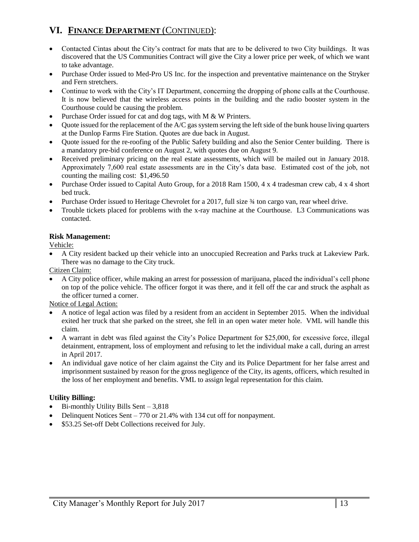# **VI. FINANCE DEPARTMENT** (CONTINUED):

- Contacted Cintas about the City's contract for mats that are to be delivered to two City buildings. It was discovered that the US Communities Contract will give the City a lower price per week, of which we want to take advantage.
- Purchase Order issued to Med-Pro US Inc. for the inspection and preventative maintenance on the Stryker and Fern stretchers.
- Continue to work with the City's IT Department, concerning the dropping of phone calls at the Courthouse. It is now believed that the wireless access points in the building and the radio booster system in the Courthouse could be causing the problem.
- Purchase Order issued for cat and dog tags, with M & W Printers.
- Quote issued for the replacement of the A/C gas system serving the left side of the bunk house living quarters at the Dunlop Farms Fire Station. Quotes are due back in August.
- Quote issued for the re-roofing of the Public Safety building and also the Senior Center building. There is a mandatory pre-bid conference on August 2, with quotes due on August 9.
- Received preliminary pricing on the real estate assessments, which will be mailed out in January 2018. Approximately 7,600 real estate assessments are in the City's data base. Estimated cost of the job, not counting the mailing cost: \$1,496.50
- Purchase Order issued to Capital Auto Group, for a 2018 Ram 1500, 4 x 4 tradesman crew cab, 4 x 4 short bed truck.
- Purchase Order issued to Heritage Chevrolet for a 2017, full size  $\frac{3}{4}$  ton cargo van, rear wheel drive.
- Trouble tickets placed for problems with the x-ray machine at the Courthouse. L3 Communications was contacted.

#### **Risk Management:**

Vehicle:

 A City resident backed up their vehicle into an unoccupied Recreation and Parks truck at Lakeview Park. There was no damage to the City truck.

Citizen Claim:

 A City police officer, while making an arrest for possession of marijuana, placed the individual's cell phone on top of the police vehicle. The officer forgot it was there, and it fell off the car and struck the asphalt as the officer turned a corner.

Notice of Legal Action:

- A notice of legal action was filed by a resident from an accident in September 2015. When the individual exited her truck that she parked on the street, she fell in an open water meter hole. VML will handle this claim.
- A warrant in debt was filed against the City's Police Department for \$25,000, for excessive force, illegal detainment, entrapment, loss of employment and refusing to let the individual make a call, during an arrest in April 2017.
- An individual gave notice of her claim against the City and its Police Department for her false arrest and imprisonment sustained by reason for the gross negligence of the City, its agents, officers, which resulted in the loss of her employment and benefits. VML to assign legal representation for this claim.

#### **Utility Billing:**

- Bi-monthly Utility Bills Sent 3,818
- Delinquent Notices Sent 770 or 21.4% with 134 cut off for nonpayment.
- \$53.25 Set-off Debt Collections received for July.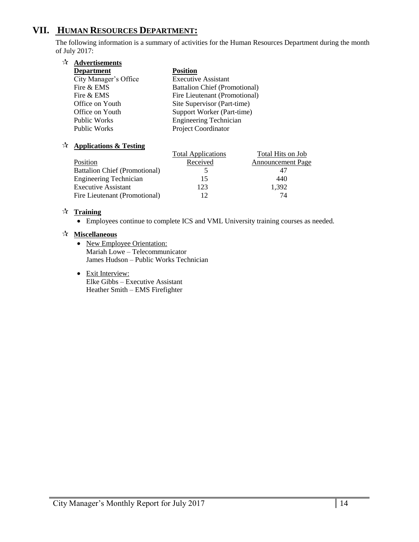# **VII. HUMAN RESOURCES DEPARTMENT:**

The following information is a summary of activities for the Human Resources Department during the month of July 2017:

| ☆ | <b>Advertisements</b> |                                      |
|---|-----------------------|--------------------------------------|
|   | <b>Department</b>     | <b>Position</b>                      |
|   | City Manager's Office | <b>Executive Assistant</b>           |
|   | Fire & EMS            | <b>Battalion Chief (Promotional)</b> |
|   | Fire & EMS            | Fire Lieutenant (Promotional)        |
|   | Office on Youth       | Site Supervisor (Part-time)          |
|   | Office on Youth       | Support Worker (Part-time)           |
|   | <b>Public Works</b>   | <b>Engineering Technician</b>        |
|   | <b>Public Works</b>   | <b>Project Coordinator</b>           |
|   |                       |                                      |

#### **Applications & Testing**

|                                      | <b>Total Applications</b> | Total Hits on Job        |
|--------------------------------------|---------------------------|--------------------------|
| Position                             | Received                  | <b>Announcement Page</b> |
| <b>Battalion Chief (Promotional)</b> |                           |                          |
| <b>Engineering Technician</b>        | 15                        | 440                      |
| <b>Executive Assistant</b>           | 123                       | 1,392                    |
| Fire Lieutenant (Promotional)        |                           | 74                       |

#### **Training**

Employees continue to complete ICS and VML University training courses as needed.

#### **Miscellaneous**

- New Employee Orientation: Mariah Lowe – Telecommunicator James Hudson – Public Works Technician
- Exit Interview: Elke Gibbs – Executive Assistant Heather Smith – EMS Firefighter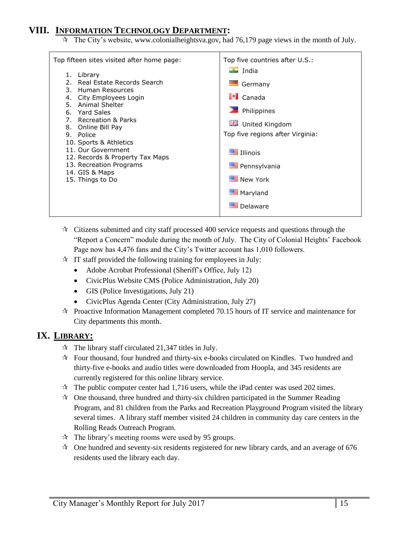# **VIII. INFORMATION TECHNOLOGY DEPARTMENT:**

The City's website, [www.colonialheightsva.gov,](http://www.colonialheightsva.gov/) had 76,179 page views in the month of July.

| Top fifteen sites visited after home page:                                                                                                                                                                                                                                                                                                            | Top five countries after U.S.:                                                                                                                                                                                                     |
|-------------------------------------------------------------------------------------------------------------------------------------------------------------------------------------------------------------------------------------------------------------------------------------------------------------------------------------------------------|------------------------------------------------------------------------------------------------------------------------------------------------------------------------------------------------------------------------------------|
| 1. Library<br>Real Estate Records Search<br>2.<br>3. Human Resources<br>4. City Employees Login<br>5. Animal Shelter<br>6. Yard Sales<br>7. Recreation & Parks<br>8. Online Bill Pay<br>9. Police<br>10. Sports & Athletics<br>11. Our Government<br>12. Records & Property Tax Maps<br>13. Recreation Programs<br>14. GIS & Maps<br>15. Things to Do | $\frac{1}{2}$ India<br><b>START</b><br>Germany<br>$\blacksquare$ Canada<br><b>Dela</b> Philippines<br><b>ME</b> United Kingdom<br>Top five regions after Virginia:<br>Illinois<br>Pennsylvania<br>New York<br>Maryland<br>Delaware |
|                                                                                                                                                                                                                                                                                                                                                       |                                                                                                                                                                                                                                    |

- $\star$  Citizens submitted and city staff processed 400 service requests and questions through the "Report a Concern" module during the month of July. The City of Colonial Heights' Facebook Page now has 4,476 fans and the City's Twitter account has 1,010 followers.
- $\hat{x}$  IT staff provided the following training for employees in July:
	- Adobe Acrobat Professional (Sheriff's Office, July 12)
	- CivicPlus Website CMS (Police Administration, July 20)
	- GIS (Police Investigations, July 21)
	- CivicPlus Agenda Center (City Administration, July 27)
- $\approx$  Proactive Information Management completed 70.15 hours of IT service and maintenance for City departments this month.

# **IX. LIBRARY:**

- $\hat{x}$  The library staff circulated 21,347 titles in July.
- Four thousand, four hundred and thirty-six e-books circulated on Kindles. Two hundred and thirty-five e-books and audio titles were downloaded from Hoopla, and 345 residents are currently registered for this online library service.
- $\star$  The public computer center had 1,716 users, while the iPad center was used 202 times.
- $\mathcal{R}$  One thousand, three hundred and thirty-six children participated in the Summer Reading Program, and 81 children from the Parks and Recreation Playground Program visited the library several times. A library staff member visited 24 children in community day care centers in the Rolling Reads Outreach Program.
- $\approx$  The library's meeting rooms were used by 95 groups.
- $\approx$  One hundred and seventy-six residents registered for new library cards, and an average of 676 residents used the library each day.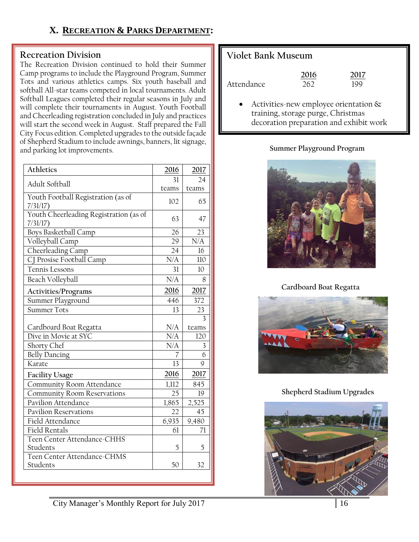# **X. RECREATION & PARKS DEPARTMENT:**

### **Recreation Division**

The Recreation Division continued to hold their Summer Camp programs to include the Playground Program, Summer Tots and various athletics camps. Six youth baseball and softball All-star teams competed in local tournaments. Adult Softball Leagues completed their regular seasons in July and will complete their tournaments in August. Youth Football and Cheerleading registration concluded in July and practices will start the second week in August. Staff prepared the Fall City Focus edition. Completed upgrades to the outside façade of Shepherd Stadium to include awnings, banners, lit signage, and parking lot improvements.

| Athletics                                          | 2016      | 2017  |
|----------------------------------------------------|-----------|-------|
| Adult Softball                                     | 31        | 24    |
|                                                    | teams     | teams |
| Youth Football Registration (as of<br>$7/31/17$ )  | 102       | 65    |
| Youth Cheerleading Registration (as of<br>7/31/17) | 63        | 47    |
| Boys Basketball Camp                               | 26        | 23    |
| Volleyball Camp                                    | 29        | N/A   |
| Cheerleading Camp                                  | 24        | 16    |
| CJ Prosise Football Camp                           | N/A       | 110   |
| Tennis Lessons                                     | 31        | 10    |
| Beach Volleyball                                   | N/A       | 8     |
| Activities/Programs                                | 2016      | 2017  |
| Summer Playground                                  | 446       | 372   |
| <b>Summer Tots</b>                                 | 13        | 23    |
|                                                    |           | 3     |
| Cardboard Boat Regatta                             | N/A       | teams |
| Dive in Movie at SYC                               | $\rm N/A$ | 120   |
| Shorty Chef                                        | N/A       | 3     |
| <b>Belly Dancing</b>                               | 7         | 6     |
| Karate                                             | 13        | 9     |
| Facility Usage                                     | 2016      | 2017  |
| Community Room Attendance                          | 1,112     | 845   |
| <b>Community Room Reservations</b>                 | 25        | 19    |
| Pavilion Attendance                                | 1,865     | 2,525 |
| <b>Pavilion Reservations</b>                       | 22        | 45    |
| Field Attendance                                   | 6,935     | 9,480 |
| <b>Field Rentals</b>                               | 61        | 71    |
| Teen Center Attendance-CHHS                        |           |       |
| Students                                           | 5         | 5     |
| Teen Center Attendance-CHMS                        |           |       |
| Students                                           | 50        | 32    |

# **Violet Bank Museum**

|            | 2016 | 2017 |
|------------|------|------|
| Attendance | 262  | 199  |

 Activities-new employee orientation & training, storage purge, Christmas decoration preparation and exhibit work

### **Summer Playground Program**



### **Cardboard Boat Regatta**



## **Shepherd Stadium Upgrades**

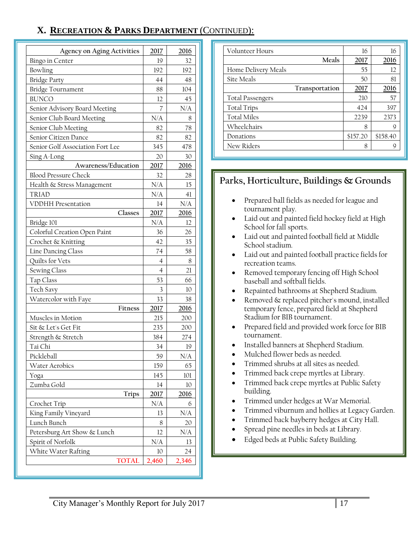# **X. RECREATION & PARKS DEPARTMENT** (CONTINUED):

| <b>Agency on Aging Activities</b> | 2017           | 2016  |
|-----------------------------------|----------------|-------|
| Bingo in Center                   | 19             | 32    |
| Bowling                           | 192            | 192   |
| <b>Bridge Party</b>               | 44             | 48    |
| Bridge Tournament                 | 88             | 104   |
| <b>BUNCO</b>                      | 12             | 45    |
| Senior Advisory Board Meeting     | 7              | N/A   |
| Senior Club Board Meeting         | N/A            | 8     |
| Senior Club Meeting               | 82             | 78    |
| Senior Citizen Dance              | 82             | 82    |
| Senior Golf Association Fort Lee  | 345            | 478   |
| Sing A-Long                       | 20             | 30    |
| Awareness/Education               | 2017           | 2016  |
| <b>Blood Pressure Check</b>       | 32             | 28    |
| Health & Stress Management        | N/A            | 15    |
| <b>TRIAD</b>                      | N/A            | 41    |
| <b>VDDHH Presentation</b>         | 14             | N/A   |
| Classes                           | 2017           | 2016  |
| Bridge 101                        | N/A            | 12    |
| Colorful Creation Open Paint      | 36             | 26    |
| Crochet & Knitting                | 42             | 35    |
| Line Dancing Class                | 74             | 58    |
| Quilts for Vets                   | 4              | 8     |
| Sewing Class                      | $\overline{4}$ | 21    |
| Tap Class                         | 53             | 66    |
| Tech Savy                         | 3              | 10    |
| Watercolor with Faye              | 33             | 38    |
| Fitness                           | 2017           | 2016  |
| Muscles in Motion                 | 215            | 200   |
| Sit & Let's Get Fit               | 235            | 200   |
| Strength & Stretch                | 384            | 274   |
| Tai Chi                           | 34             | 19    |
| Pickleball                        | 59             | N/A   |
| <b>Water Aerobics</b>             | 159            | 65    |
| Yoga                              | 145            | 101   |
| Zumba Gold                        | 14             | 10    |
| <b>Trips</b>                      | 2017           | 2016  |
| Crochet Trip                      | N/A            | 6     |
| King Family Vineyard              | 13             | N/A   |
| Lunch Bunch                       | 8              | 20    |
| Petersburg Art Show & Lunch       | 12             | N/A   |
| Spirit of Norfolk                 | N/A            | 13    |
| White Water Rafting               | $10\,$         | 24    |
| <b>TOTAL</b>                      | 2,460          | 2,346 |

| Volunteer Hours         | 16       | 16       |
|-------------------------|----------|----------|
| Meals                   | 2017     | 2016     |
| Home Delivery Meals     | 55       | 12       |
| Site Meals              | 50       | 81       |
| Transportation          | 2017     | 2016     |
| <b>Total Passengers</b> | 210      | 57       |
| <b>Total Trips</b>      | 424      | 397      |
| <b>Total Miles</b>      | 2239     | 2373     |
| Wheelchairs             | 8        | 9        |
| Donations               | \$157.20 | \$158.40 |
| New Riders              | 8        | 9        |

# **Parks, Horticulture, Buildings & Grounds**

- Prepared ball fields as needed for league and tournament play.
- Laid out and painted field hockey field at High School for fall sports.
- Laid out and painted football field at Middle School stadium.
- Laid out and painted football practice fields for recreation teams.
- Removed temporary fencing off High School baseball and softball fields.
- Repainted bathrooms at Shepherd Stadium.
- Removed & replaced pitcher's mound, installed temporary fence, prepared field at Shepherd Stadium for BIB tournament.
- Prepared field and provided work force for BIB tournament.
- Installed banners at Shepherd Stadium.
- Mulched flower beds as needed.
- Trimmed shrubs at all sites as needed.
- Trimmed back crepe myrtles at Library.
- Trimmed back crepe myrtles at Public Safety building.
- Trimmed under hedges at War Memorial.
- Trimmed viburnum and hollies at Legacy Garden.
- Trimmed back bayberry hedges at City Hall.
- Spread pine needles in beds at Library.
- Edged beds at Public Safety Building.